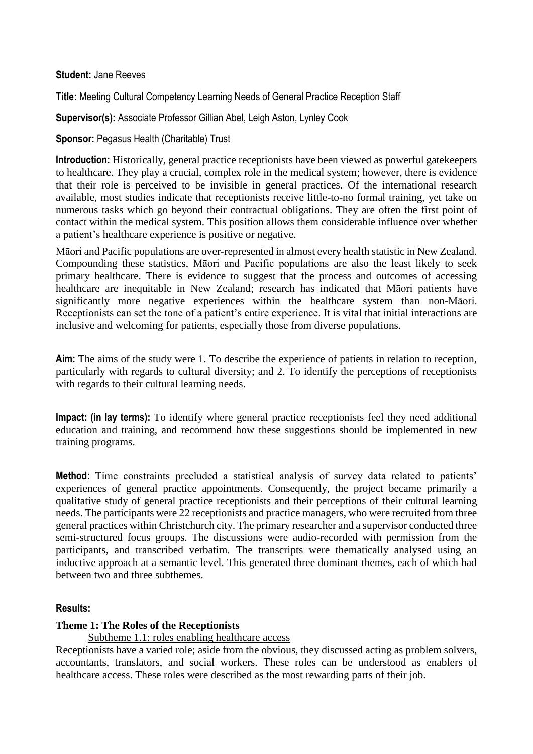**Student:** Jane Reeves

**Title:** Meeting Cultural Competency Learning Needs of General Practice Reception Staff

**Supervisor(s):** Associate Professor Gillian Abel, Leigh Aston, Lynley Cook

**Sponsor:** Pegasus Health (Charitable) Trust

**Introduction:** Historically, general practice receptionists have been viewed as powerful gatekeepers to healthcare. They play a crucial, complex role in the medical system; however, there is evidence that their role is perceived to be invisible in general practices. Of the international research available, most studies indicate that receptionists receive little-to-no formal training, yet take on numerous tasks which go beyond their contractual obligations. They are often the first point of contact within the medical system. This position allows them considerable influence over whether a patient's healthcare experience is positive or negative.

Māori and Pacific populations are over-represented in almost every health statistic in New Zealand. Compounding these statistics, Māori and Pacific populations are also the least likely to seek primary healthcare. There is evidence to suggest that the process and outcomes of accessing healthcare are inequitable in New Zealand; research has indicated that Māori patients have significantly more negative experiences within the healthcare system than non-Māori. Receptionists can set the tone of a patient's entire experience. It is vital that initial interactions are inclusive and welcoming for patients, especially those from diverse populations.

**Aim:** The aims of the study were 1. To describe the experience of patients in relation to reception, particularly with regards to cultural diversity; and 2. To identify the perceptions of receptionists with regards to their cultural learning needs.

**Impact: (in lay terms):** To identify where general practice receptionists feel they need additional education and training, and recommend how these suggestions should be implemented in new training programs.

**Method:** Time constraints precluded a statistical analysis of survey data related to patients' experiences of general practice appointments. Consequently, the project became primarily a qualitative study of general practice receptionists and their perceptions of their cultural learning needs. The participants were 22 receptionists and practice managers, who were recruited from three general practices within Christchurch city. The primary researcher and a supervisor conducted three semi-structured focus groups. The discussions were audio-recorded with permission from the participants, and transcribed verbatim. The transcripts were thematically analysed using an inductive approach at a semantic level. This generated three dominant themes, each of which had between two and three subthemes.

#### **Results:**

#### **Theme 1: The Roles of the Receptionists**

Subtheme 1.1: roles enabling healthcare access

Receptionists have a varied role; aside from the obvious, they discussed acting as problem solvers, accountants, translators, and social workers. These roles can be understood as enablers of healthcare access. These roles were described as the most rewarding parts of their job.